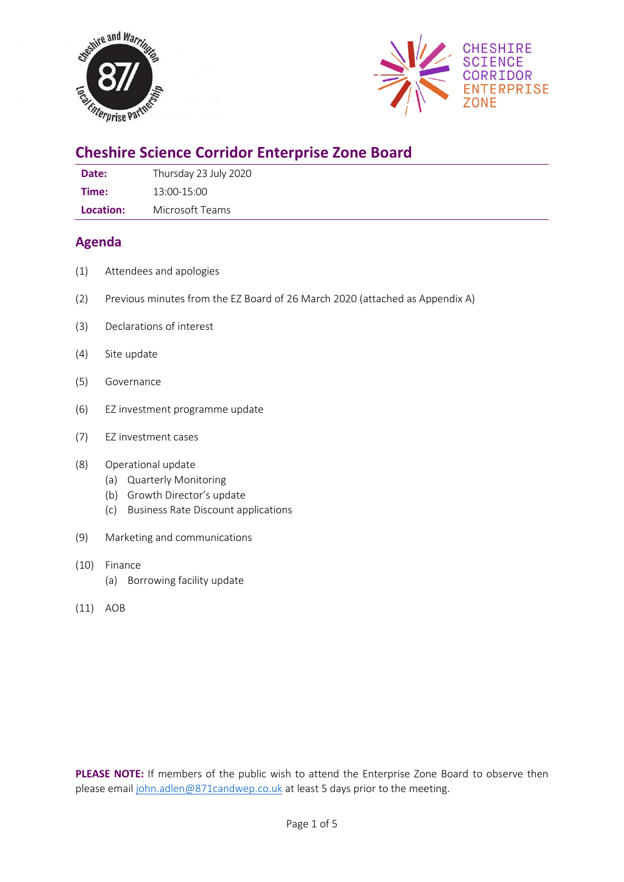



# **Cheshire Science Corridor Enterprise Zone Board**

| Date: | Thursday 23 July 2020 |
|-------|-----------------------|
| Time: | 13:00-15:00           |

**Location:** Microsoft Teams

## **Agenda**

- (1) Attendees and apologies
- (2) Previous minutes from the EZ Board of 26 March 2020 (attached as Appendix A)
- (3) Declarations of interest
- (4) Site update
- (5) Governance
- (6) EZ investment programme update
- (7) EZ investment cases

#### (8) Operational update

- (a) Quarterly Monitoring
- (b) Growth Director's update
- (c) Business Rate Discount applications
- (9) Marketing and communications
- (10) Finance
	- (a) Borrowing facility update
- (11) AOB

**PLEASE NOTE:** If members of the public wish to attend the Enterprise Zone Board to observe then please email [john.adlen@871candwep.co.uk](mailto:john.adlen@871candwep.co.uk) at least 5 days prior to the meeting.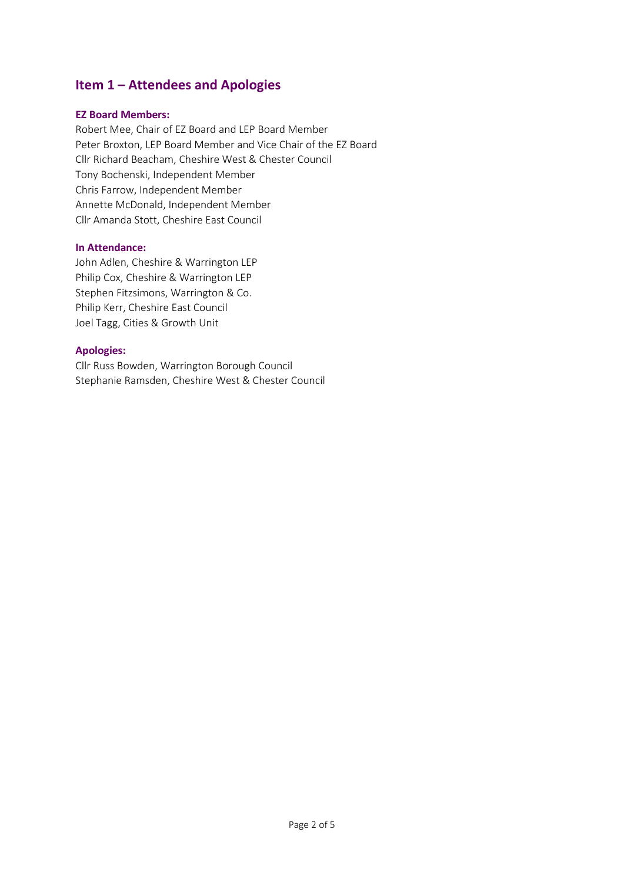## **Item 1 – Attendees and Apologies**

#### **EZ Board Members:**

Robert Mee, Chair of EZ Board and LEP Board Member Peter Broxton, LEP Board Member and Vice Chair of the EZ Board Cllr Richard Beacham, Cheshire West & Chester Council Tony Bochenski, Independent Member Chris Farrow, Independent Member Annette McDonald, Independent Member Cllr Amanda Stott, Cheshire East Council

#### **In Attendance:**

John Adlen, Cheshire & Warrington LEP Philip Cox, Cheshire & Warrington LEP Stephen Fitzsimons, Warrington & Co. Philip Kerr, Cheshire East Council Joel Tagg, Cities & Growth Unit

#### **Apologies:**

Cllr Russ Bowden, Warrington Borough Council Stephanie Ramsden, Cheshire West & Chester Council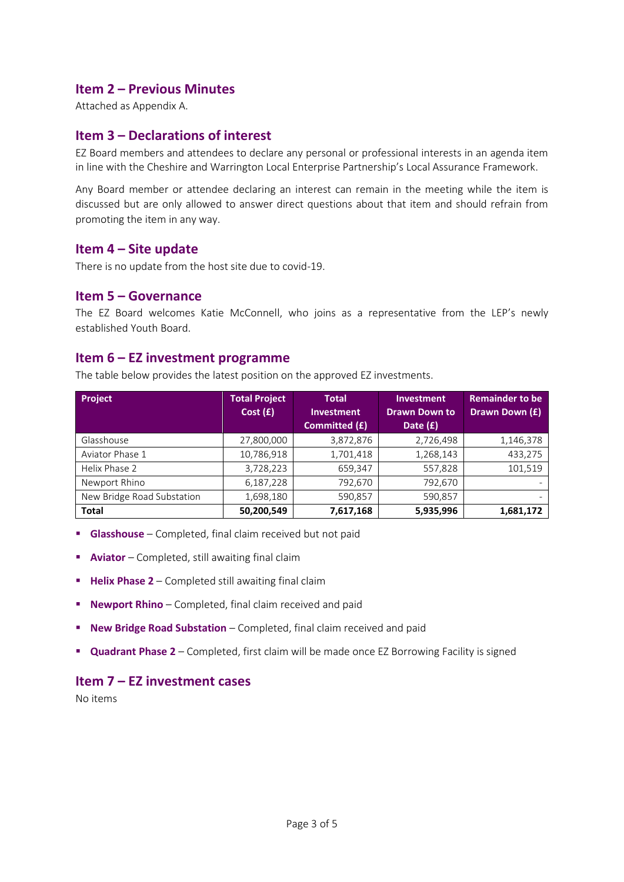## **Item 2 – Previous Minutes**

Attached as Appendix A.

## **Item 3 – Declarations of interest**

EZ Board members and attendees to declare any personal or professional interests in an agenda item in line with the Cheshire and Warrington Local Enterprise Partnership's Local Assurance Framework.

Any Board member or attendee declaring an interest can remain in the meeting while the item is discussed but are only allowed to answer direct questions about that item and should refrain from promoting the item in any way.

#### **Item 4 – Site update**

There is no update from the host site due to covid-19.

#### **Item 5 – Governance**

The EZ Board welcomes Katie McConnell, who joins as a representative from the LEP's newly established Youth Board.

#### **Item 6 – EZ investment programme**

The table below provides the latest position on the approved EZ investments.

| <b>Project</b>             | <b>Total Project</b> | <b>Total</b>      | <b>Investment</b>    | <b>Remainder to be</b> |
|----------------------------|----------------------|-------------------|----------------------|------------------------|
|                            | Cost(f)              | <b>Investment</b> | <b>Drawn Down to</b> | Drawn Down (£)         |
|                            |                      | Committed (£)     | Date $(f)$           |                        |
| Glasshouse                 | 27,800,000           | 3,872,876         | 2,726,498            | 1,146,378              |
| Aviator Phase 1            | 10,786,918           | 1,701,418         | 1,268,143            | 433,275                |
| Helix Phase 2              | 3,728,223            | 659,347           | 557,828              | 101,519                |
| Newport Rhino              | 6,187,228            | 792,670           | 792,670              |                        |
| New Bridge Road Substation | 1,698,180            | 590,857           | 590,857              |                        |
| <b>Total</b>               | 50,200,549           | 7,617,168         | 5,935,996            | 1,681,172              |

- **E** Glasshouse Completed, final claim received but not paid
- **E** Aviator Completed, still awaiting final claim
- **E** Helix Phase 2 Completed still awaiting final claim
- **Newport Rhino** Completed, final claim received and paid
- **New Bridge Road Substation** Completed, final claim received and paid
- **Quadrant Phase 2**  Completed, first claim will be made once EZ Borrowing Facility is signed

### **Item 7 – EZ investment cases**

No items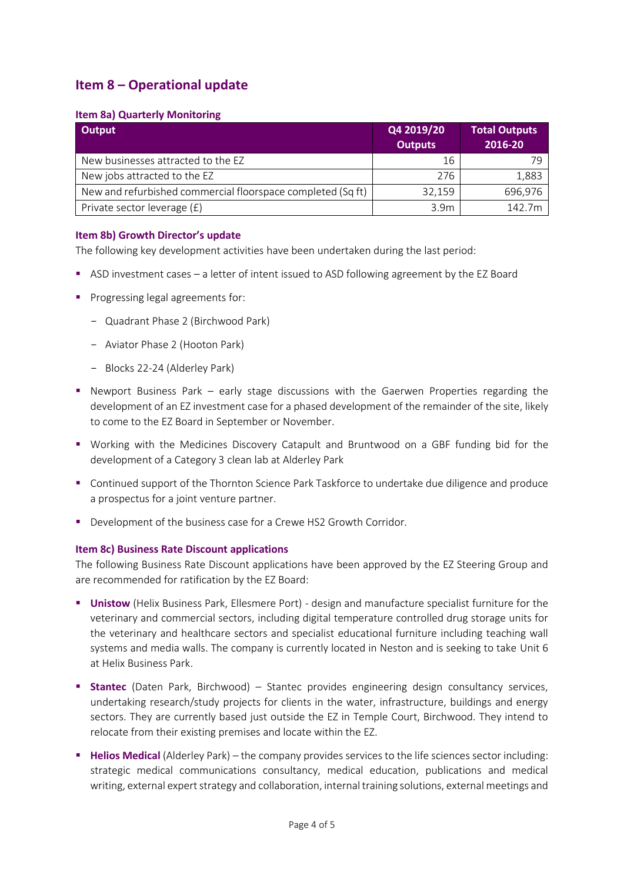## **Item 8 – Operational update**

#### **Item 8a) Quarterly Monitoring**

| Output                                                      | Q4 2019/20       | <b>Total Outputs</b> |
|-------------------------------------------------------------|------------------|----------------------|
|                                                             | <b>Outputs</b>   | 2016-20              |
| New businesses attracted to the EZ                          | 16               | 70                   |
| New jobs attracted to the EZ                                | 276              | 1,883                |
| New and refurbished commercial floorspace completed (Sq ft) | 32,159           | 696,976              |
| Private sector leverage (£)                                 | 3.9 <sub>m</sub> | 142.7m               |

#### **Item 8b) Growth Director's update**

The following key development activities have been undertaken during the last period:

- ASD investment cases a letter of intent issued to ASD following agreement by the EZ Board
- Progressing legal agreements for:
	- Quadrant Phase 2 (Birchwood Park)
	- Aviator Phase 2 (Hooton Park)
	- Blocks 22-24 (Alderley Park)
- **•** Newport Business Park early stage discussions with the Gaerwen Properties regarding the development of an EZ investment case for a phased development of the remainder of the site, likely to come to the EZ Board in September or November.
- Working with the Medicines Discovery Catapult and Bruntwood on a GBF funding bid for the development of a Category 3 clean lab at Alderley Park
- Continued support of the Thornton Science Park Taskforce to undertake due diligence and produce a prospectus for a joint venture partner.
- Development of the business case for a Crewe HS2 Growth Corridor.

#### **Item 8c) Business Rate Discount applications**

The following Business Rate Discount applications have been approved by the EZ Steering Group and are recommended for ratification by the EZ Board:

- **Unistow** (Helix Business Park, Ellesmere Port) design and manufacture specialist furniture for the veterinary and commercial sectors, including digital temperature controlled drug storage units for the veterinary and healthcare sectors and specialist educational furniture including teaching wall systems and media walls. The company is currently located in Neston and is seeking to take Unit 6 at Helix Business Park.
- **Examtec** (Daten Park, Birchwood) Stantec provides engineering design consultancy services, undertaking research/study projects for clients in the water, infrastructure, buildings and energy sectors. They are currently based just outside the EZ in Temple Court, Birchwood. They intend to relocate from their existing premises and locate within the EZ.
- **Helios Medical** (Alderley Park) the company provides services to the life sciences sector including: strategic medical communications consultancy, medical education, publications and medical writing, external expert strategy and collaboration, internal training solutions, external meetings and